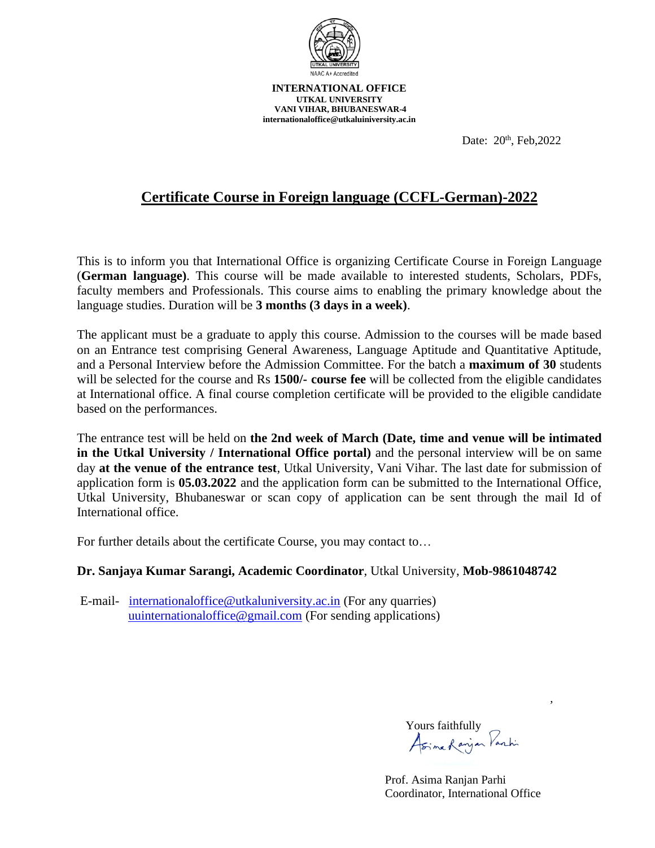

Date: 20<sup>th</sup>, Feb, 2022

# **Certificate Course in Foreign language (CCFL-German)-2022**

This is to inform you that International Office is organizing Certificate Course in Foreign Language (**German language)**. This course will be made available to interested students, Scholars, PDFs, faculty members and Professionals. This course aims to enabling the primary knowledge about the language studies. Duration will be **3 months (3 days in a week)**.

The applicant must be a graduate to apply this course. Admission to the courses will be made based on an Entrance test comprising General Awareness, Language Aptitude and Quantitative Aptitude, and a Personal Interview before the Admission Committee. For the batch a **maximum of 30** students will be selected for the course and Rs **1500/- course fee** will be collected from the eligible candidates at International office. A final course completion certificate will be provided to the eligible candidate based on the performances.

The entrance test will be held on **the 2nd week of March (Date, time and venue will be intimated in the Utkal University / International Office portal)** and the personal interview will be on same day **at the venue of the entrance test**, Utkal University, Vani Vihar. The last date for submission of application form is **05.03.2022** and the application form can be submitted to the International Office, Utkal University, Bhubaneswar or scan copy of application can be sent through the mail Id of International office.

For further details about the certificate Course, you may contact to…

#### **Dr. Sanjaya Kumar Sarangi, Academic Coordinator**, Utkal University, **Mob-9861048742**

E-mail- [internationaloffice@utkaluniversity.ac.in](mailto:internationaloffice@utkaluniversity.ac.in) (For any quarries) [uuinternationaloffice@gmail.com](mailto:uuinternationaloffice@gmail.com) (For sending applications)

Yours faithfully<br>Asime Ranjan Parchi

,

 Prof. Asima Ranjan Parhi Coordinator, International Office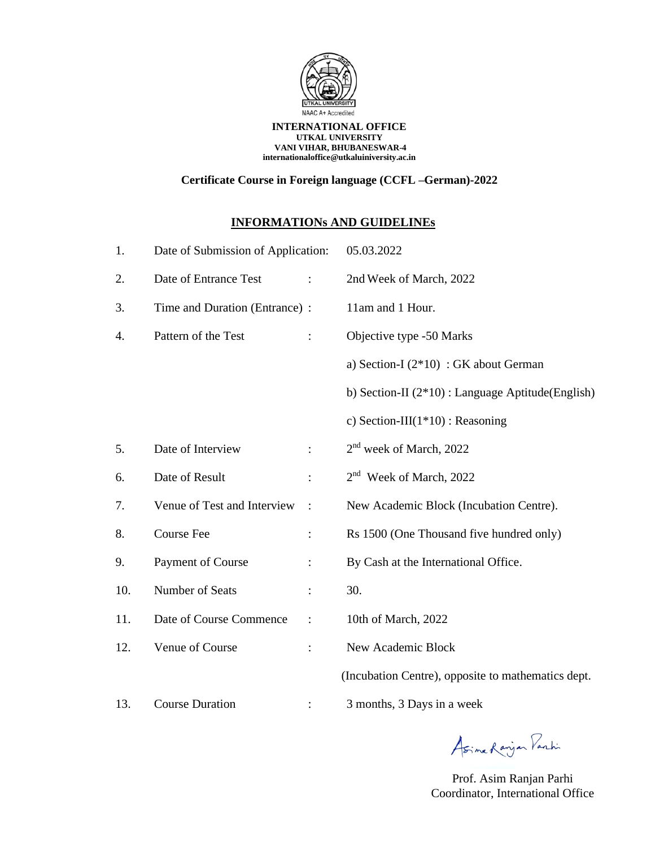

### **Certificate Course in Foreign language (CCFL –German)-2022**

### **INFORMATIONs AND GUIDELINEs**

| 1.  | Date of Submission of Application: |                        | 05.03.2022                                           |  |
|-----|------------------------------------|------------------------|------------------------------------------------------|--|
| 2.  | Date of Entrance Test              |                        | 2nd Week of March, 2022                              |  |
| 3.  | Time and Duration (Entrance) :     |                        | 11am and 1 Hour.                                     |  |
| 4.  | Pattern of the Test                | $\ddot{\cdot}$         | Objective type -50 Marks                             |  |
|     |                                    |                        | a) Section-I $(2*10)$ : GK about German              |  |
|     |                                    |                        | b) Section-II $(2*10)$ : Language Aptitude (English) |  |
|     |                                    |                        | c) Section-III $(1*10)$ : Reasoning                  |  |
| 5.  | Date of Interview                  | $\ddot{\cdot}$         | $2nd$ week of March, 2022                            |  |
| 6.  | Date of Result                     |                        | 2 <sup>nd</sup> Week of March, 2022                  |  |
| 7.  | Venue of Test and Interview        | $\ddot{\phantom{1}}$ : | New Academic Block (Incubation Centre).              |  |
| 8.  | <b>Course Fee</b>                  | $\ddot{\cdot}$         | Rs 1500 (One Thousand five hundred only)             |  |
| 9.  | Payment of Course                  | $\ddot{\cdot}$         | By Cash at the International Office.                 |  |
| 10. | Number of Seats                    |                        | 30.                                                  |  |
| 11. | Date of Course Commence            | $\ddot{\cdot}$         | 10th of March, 2022                                  |  |
| 12. | Venue of Course                    | $\ddot{\cdot}$         | New Academic Block                                   |  |
|     |                                    |                        | (Incubation Centre), opposite to mathematics dept.   |  |
| 13. | <b>Course Duration</b>             |                        | 3 months, 3 Days in a week                           |  |

Asime Ranjan Parki

Prof. Asim Ranjan Parhi Coordinator, International Office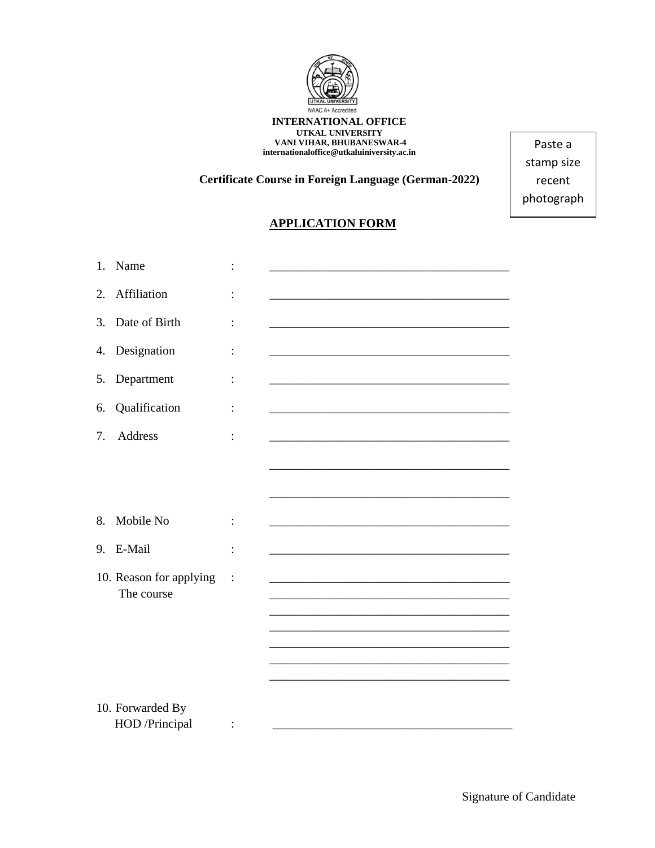

**Certificate Course in Foreign Language (German-2022)**

Paste a stamp size recent photograph

## **APPLICATION FORM**

| 1. | Name                                  |                |  |
|----|---------------------------------------|----------------|--|
| 2. | Affiliation                           |                |  |
| 3. | Date of Birth                         | $\ddot{\cdot}$ |  |
| 4. | Designation                           |                |  |
| 5. | Department                            |                |  |
| 6. | Qualification                         | :              |  |
| 7. | Address                               |                |  |
|    |                                       |                |  |
|    |                                       |                |  |
| 8. | Mobile No                             |                |  |
| 9. | E-Mail                                | $\ddot{\cdot}$ |  |
|    | 10. Reason for applying<br>The course | $\ddot{\cdot}$ |  |
|    |                                       |                |  |
|    |                                       |                |  |
|    |                                       |                |  |
|    | 10. Forwarded By                      |                |  |
|    | HOD /Principal                        |                |  |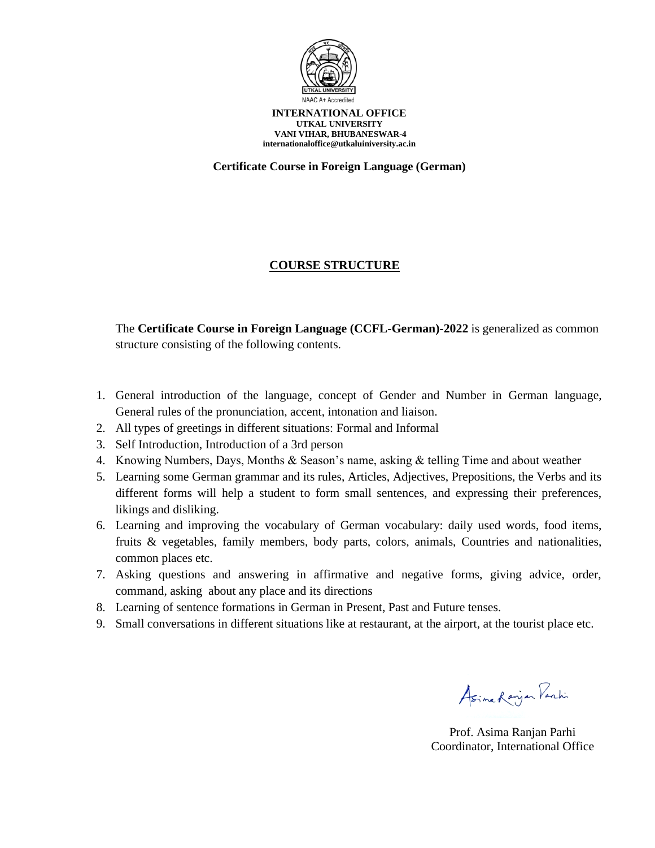

**Certificate Course in Foreign Language (German)**

### **COURSE STRUCTURE**

The **Certificate Course in Foreign Language (CCFL-German)-2022** is generalized as common structure consisting of the following contents.

- 1. General introduction of the language, concept of Gender and Number in German language, General rules of the pronunciation, accent, intonation and liaison.
- 2. All types of greetings in different situations: Formal and Informal
- 3. Self Introduction, Introduction of a 3rd person
- 4. Knowing Numbers, Days, Months & Season's name, asking & telling Time and about weather
- 5. Learning some German grammar and its rules, Articles, Adjectives, Prepositions, the Verbs and its different forms will help a student to form small sentences, and expressing their preferences, likings and disliking.
- 6. Learning and improving the vocabulary of German vocabulary: daily used words, food items, fruits & vegetables, family members, body parts, colors, animals, Countries and nationalities, common places etc.
- 7. Asking questions and answering in affirmative and negative forms, giving advice, order, command, asking about any place and its directions
- 8. Learning of sentence formations in German in Present, Past and Future tenses.
- 9. Small conversations in different situations like at restaurant, at the airport, at the tourist place etc.

Asime Ranjan Parki

Prof. Asima Ranjan Parhi Coordinator, International Office